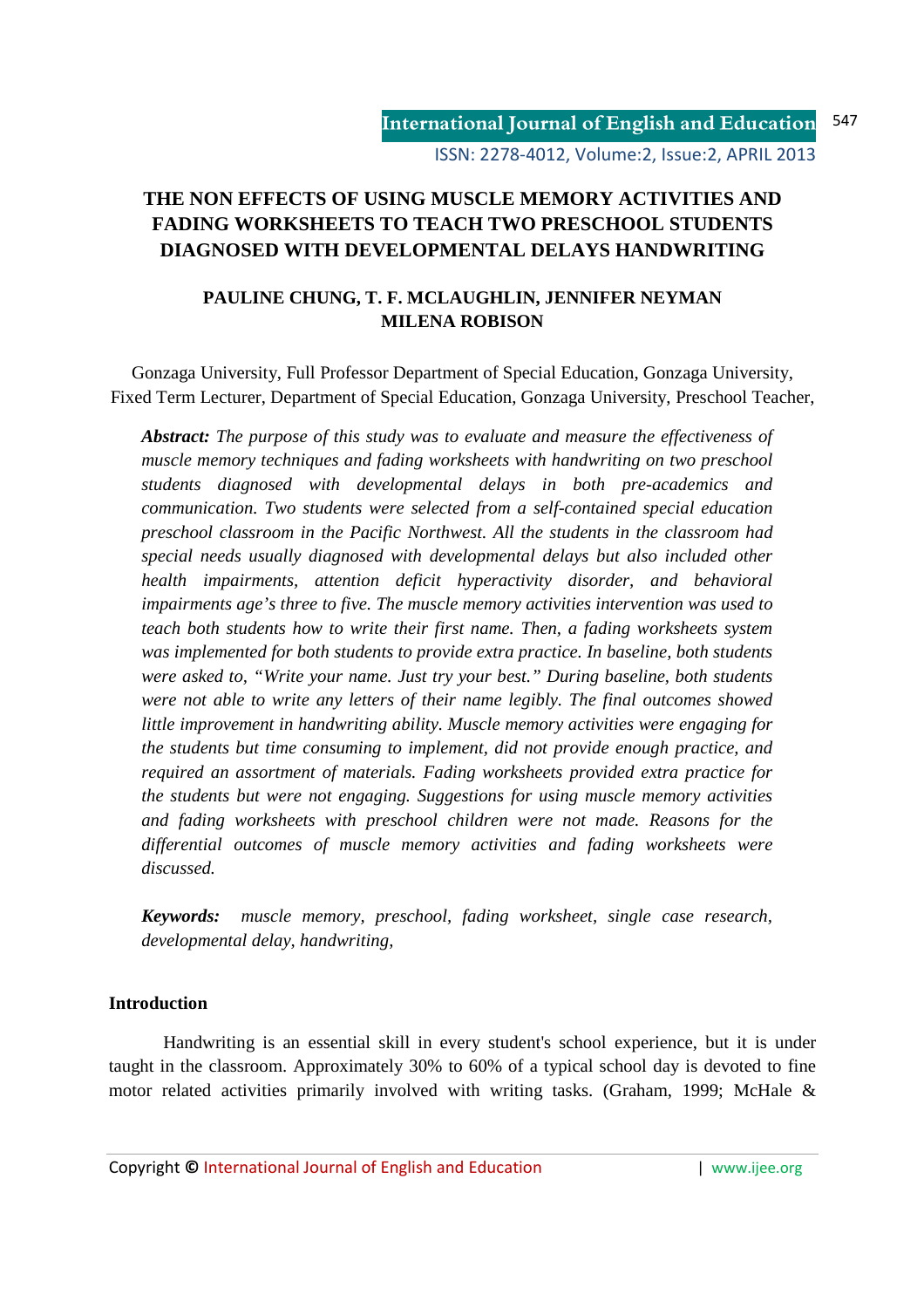# **THE NON EFFECTS OF USING MUSCLE MEMORY ACTIVITIES AND FADING WORKSHEETS TO TEACH TWO PRESCHOOL STUDENTS DIAGNOSED WITH DEVELOPMENTAL DELAYS HANDWRITING**

## **PAULINE CHUNG, T. F. MCLAUGHLIN, JENNIFER NEYMAN MILENA ROBISON**

Gonzaga University, Full Professor Department of Special Education, Gonzaga University, Fixed Term Lecturer, Department of Special Education, Gonzaga University, Preschool Teacher,

*Abstract: The purpose of this study was to evaluate and measure the effectiveness of muscle memory techniques and fading worksheets with handwriting on two preschool students diagnosed with developmental delays in both pre-academics and communication. Two students were selected from a self-contained special education preschool classroom in the Pacific Northwest. All the students in the classroom had special needs usually diagnosed with developmental delays but also included other health impairments, attention deficit hyperactivity disorder, and behavioral impairments age's three to five. The muscle memory activities intervention was used to teach both students how to write their first name. Then, a fading worksheets system was implemented for both students to provide extra practice. In baseline, both students were asked to, "Write your name. Just try your best." During baseline, both students were not able to write any letters of their name legibly. The final outcomes showed little improvement in handwriting ability. Muscle memory activities were engaging for the students but time consuming to implement, did not provide enough practice, and required an assortment of materials. Fading worksheets provided extra practice for the students but were not engaging. Suggestions for using muscle memory activities and fading worksheets with preschool children were not made. Reasons for the differential outcomes of muscle memory activities and fading worksheets were discussed.* 

*Keywords: muscle memory, preschool, fading worksheet, single case research, developmental delay, handwriting,* 

#### **Introduction**

Handwriting is an essential skill in every student's school experience, but it is under taught in the classroom. Approximately 30% to 60% of a typical school day is devoted to fine motor related activities primarily involved with writing tasks. (Graham, 1999; McHale &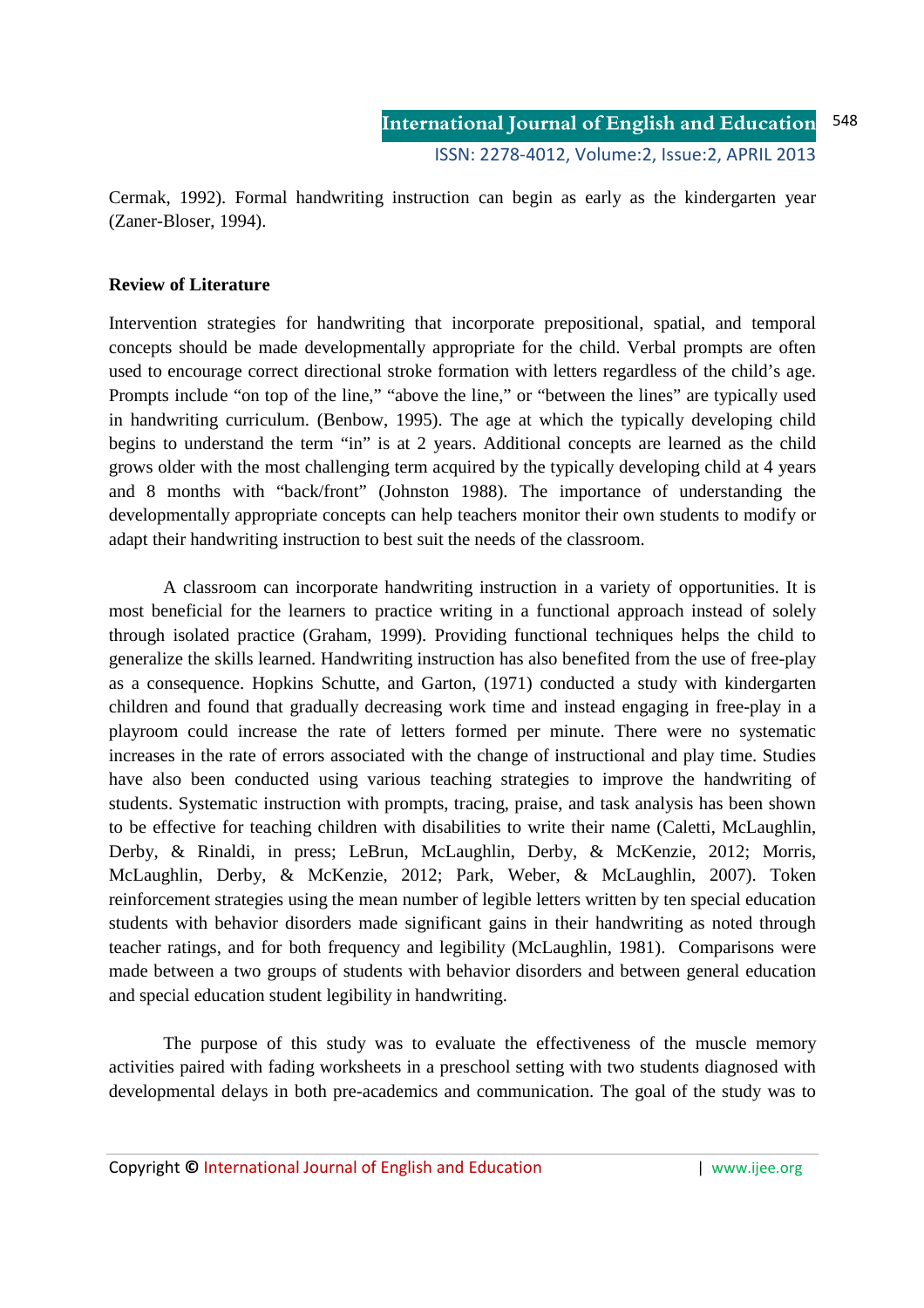Cermak, 1992). Formal handwriting instruction can begin as early as the kindergarten year (Zaner-Bloser, 1994).

#### **Review of Literature**

Intervention strategies for handwriting that incorporate prepositional, spatial, and temporal concepts should be made developmentally appropriate for the child. Verbal prompts are often used to encourage correct directional stroke formation with letters regardless of the child's age. Prompts include "on top of the line," "above the line," or "between the lines" are typically used in handwriting curriculum. (Benbow, 1995). The age at which the typically developing child begins to understand the term "in" is at 2 years. Additional concepts are learned as the child grows older with the most challenging term acquired by the typically developing child at 4 years and 8 months with "back/front" (Johnston 1988). The importance of understanding the developmentally appropriate concepts can help teachers monitor their own students to modify or adapt their handwriting instruction to best suit the needs of the classroom.

 A classroom can incorporate handwriting instruction in a variety of opportunities. It is most beneficial for the learners to practice writing in a functional approach instead of solely through isolated practice (Graham, 1999). Providing functional techniques helps the child to generalize the skills learned. Handwriting instruction has also benefited from the use of free-play as a consequence. Hopkins Schutte, and Garton, (1971) conducted a study with kindergarten children and found that gradually decreasing work time and instead engaging in free-play in a playroom could increase the rate of letters formed per minute. There were no systematic increases in the rate of errors associated with the change of instructional and play time. Studies have also been conducted using various teaching strategies to improve the handwriting of students. Systematic instruction with prompts, tracing, praise, and task analysis has been shown to be effective for teaching children with disabilities to write their name (Caletti, McLaughlin, Derby, & Rinaldi, in press; LeBrun, McLaughlin, Derby, & McKenzie, 2012; Morris, McLaughlin, Derby, & McKenzie, 2012; Park, Weber, & McLaughlin, 2007). Token reinforcement strategies using the mean number of legible letters written by ten special education students with behavior disorders made significant gains in their handwriting as noted through teacher ratings, and for both frequency and legibility (McLaughlin, 1981). Comparisons were made between a two groups of students with behavior disorders and between general education and special education student legibility in handwriting.

 The purpose of this study was to evaluate the effectiveness of the muscle memory activities paired with fading worksheets in a preschool setting with two students diagnosed with developmental delays in both pre-academics and communication. The goal of the study was to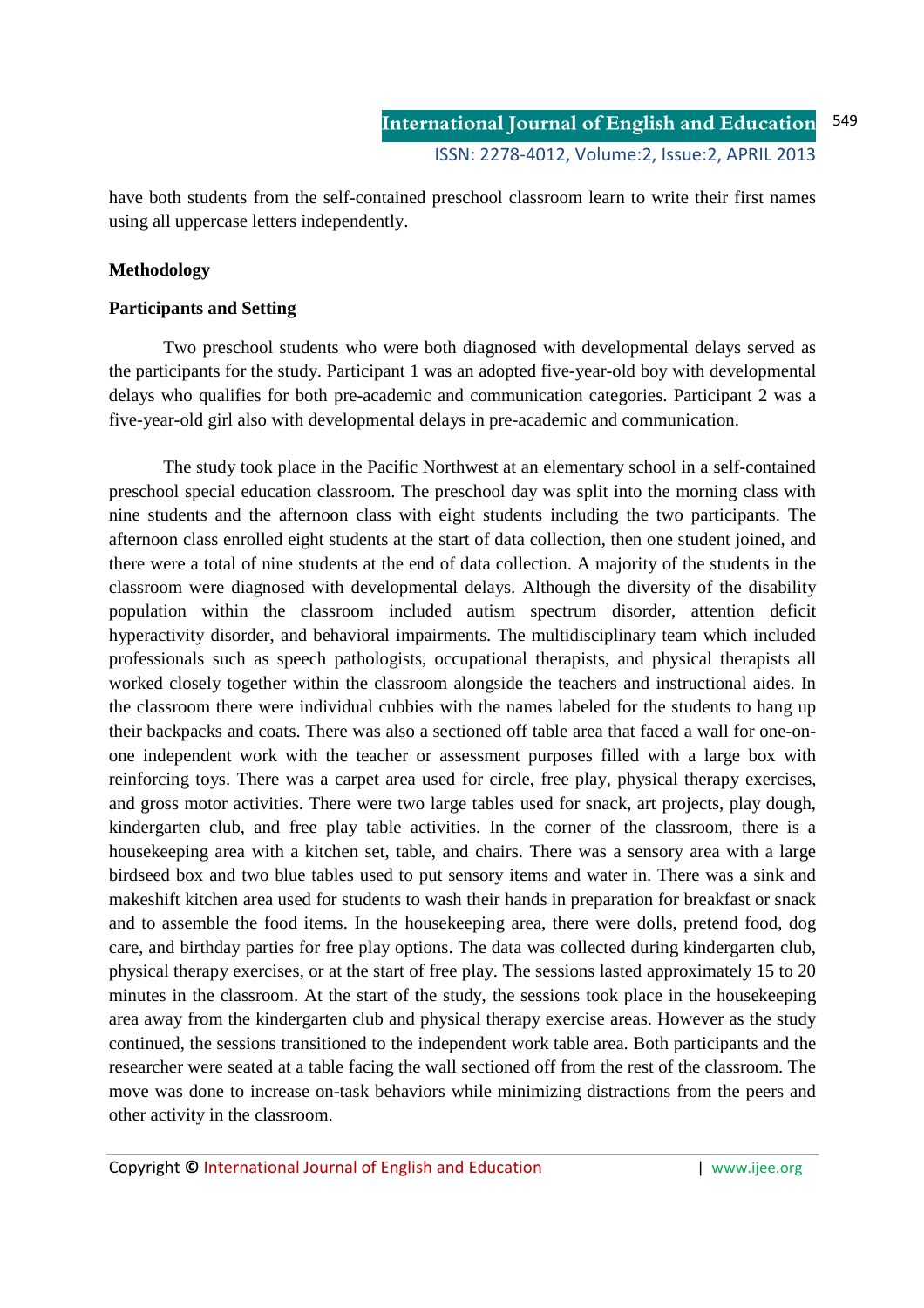have both students from the self-contained preschool classroom learn to write their first names using all uppercase letters independently.

#### **Methodology**

#### **Participants and Setting**

 Two preschool students who were both diagnosed with developmental delays served as the participants for the study. Participant 1 was an adopted five-year-old boy with developmental delays who qualifies for both pre-academic and communication categories. Participant 2 was a five-year-old girl also with developmental delays in pre-academic and communication.

The study took place in the Pacific Northwest at an elementary school in a self-contained preschool special education classroom. The preschool day was split into the morning class with nine students and the afternoon class with eight students including the two participants. The afternoon class enrolled eight students at the start of data collection, then one student joined, and there were a total of nine students at the end of data collection. A majority of the students in the classroom were diagnosed with developmental delays. Although the diversity of the disability population within the classroom included autism spectrum disorder, attention deficit hyperactivity disorder, and behavioral impairments. The multidisciplinary team which included professionals such as speech pathologists, occupational therapists, and physical therapists all worked closely together within the classroom alongside the teachers and instructional aides. In the classroom there were individual cubbies with the names labeled for the students to hang up their backpacks and coats. There was also a sectioned off table area that faced a wall for one-onone independent work with the teacher or assessment purposes filled with a large box with reinforcing toys. There was a carpet area used for circle, free play, physical therapy exercises, and gross motor activities. There were two large tables used for snack, art projects, play dough, kindergarten club, and free play table activities. In the corner of the classroom, there is a housekeeping area with a kitchen set, table, and chairs. There was a sensory area with a large birdseed box and two blue tables used to put sensory items and water in. There was a sink and makeshift kitchen area used for students to wash their hands in preparation for breakfast or snack and to assemble the food items. In the housekeeping area, there were dolls, pretend food, dog care, and birthday parties for free play options. The data was collected during kindergarten club, physical therapy exercises, or at the start of free play. The sessions lasted approximately 15 to 20 minutes in the classroom. At the start of the study, the sessions took place in the housekeeping area away from the kindergarten club and physical therapy exercise areas. However as the study continued, the sessions transitioned to the independent work table area. Both participants and the researcher were seated at a table facing the wall sectioned off from the rest of the classroom. The move was done to increase on-task behaviors while minimizing distractions from the peers and other activity in the classroom.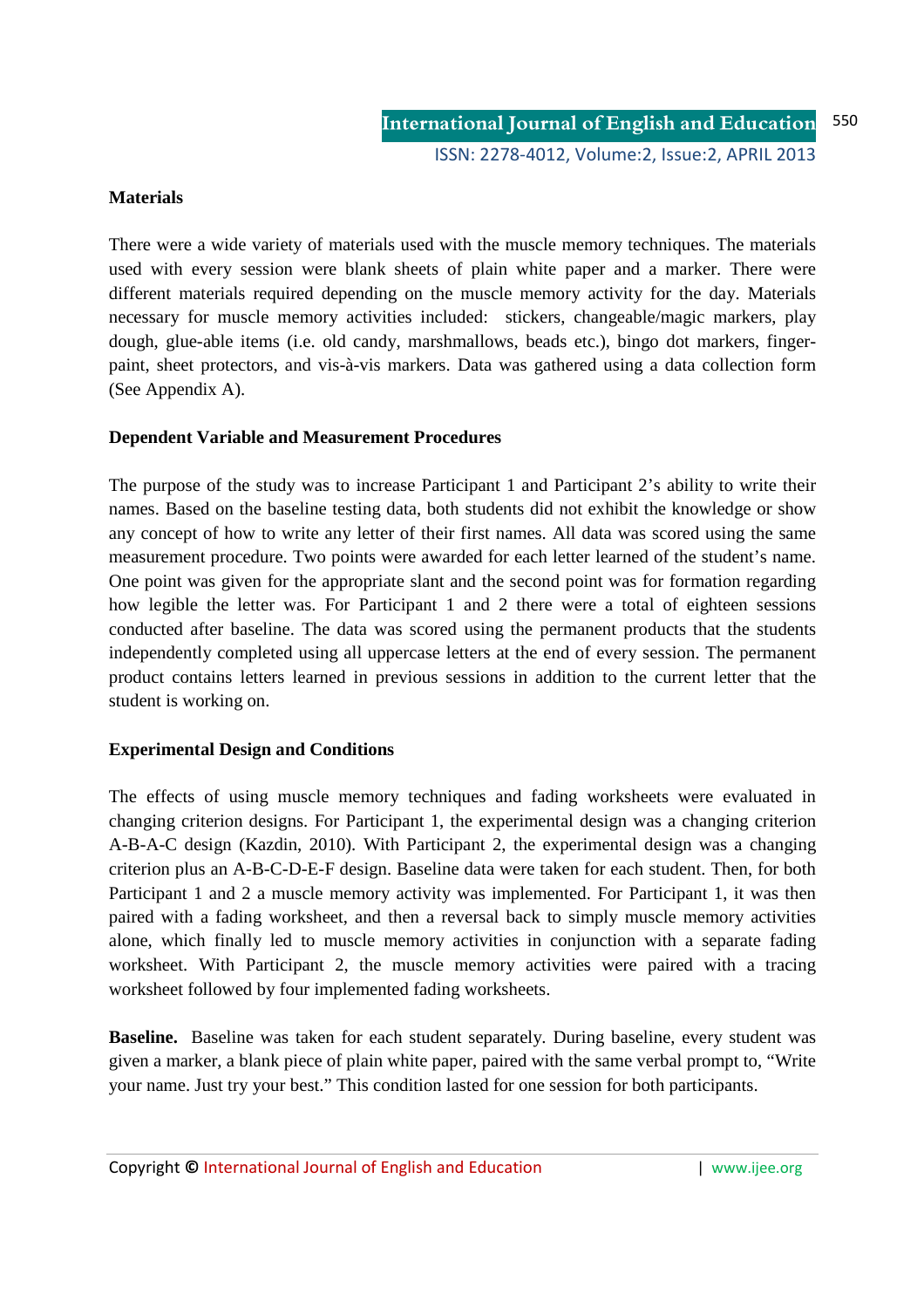#### **Materials**

There were a wide variety of materials used with the muscle memory techniques. The materials used with every session were blank sheets of plain white paper and a marker. There were different materials required depending on the muscle memory activity for the day. Materials necessary for muscle memory activities included: stickers, changeable/magic markers, play dough, glue-able items (i.e. old candy, marshmallows, beads etc.), bingo dot markers, fingerpaint, sheet protectors, and vis-à-vis markers. Data was gathered using a data collection form (See Appendix A).

#### **Dependent Variable and Measurement Procedures**

The purpose of the study was to increase Participant 1 and Participant 2's ability to write their names. Based on the baseline testing data, both students did not exhibit the knowledge or show any concept of how to write any letter of their first names. All data was scored using the same measurement procedure. Two points were awarded for each letter learned of the student's name. One point was given for the appropriate slant and the second point was for formation regarding how legible the letter was. For Participant 1 and 2 there were a total of eighteen sessions conducted after baseline. The data was scored using the permanent products that the students independently completed using all uppercase letters at the end of every session. The permanent product contains letters learned in previous sessions in addition to the current letter that the student is working on.

#### **Experimental Design and Conditions**

The effects of using muscle memory techniques and fading worksheets were evaluated in changing criterion designs. For Participant 1, the experimental design was a changing criterion A-B-A-C design (Kazdin, 2010). With Participant 2, the experimental design was a changing criterion plus an A-B-C-D-E-F design. Baseline data were taken for each student. Then, for both Participant 1 and 2 a muscle memory activity was implemented. For Participant 1, it was then paired with a fading worksheet, and then a reversal back to simply muscle memory activities alone, which finally led to muscle memory activities in conjunction with a separate fading worksheet. With Participant 2, the muscle memory activities were paired with a tracing worksheet followed by four implemented fading worksheets.

**Baseline.** Baseline was taken for each student separately. During baseline, every student was given a marker, a blank piece of plain white paper, paired with the same verbal prompt to, "Write your name. Just try your best." This condition lasted for one session for both participants.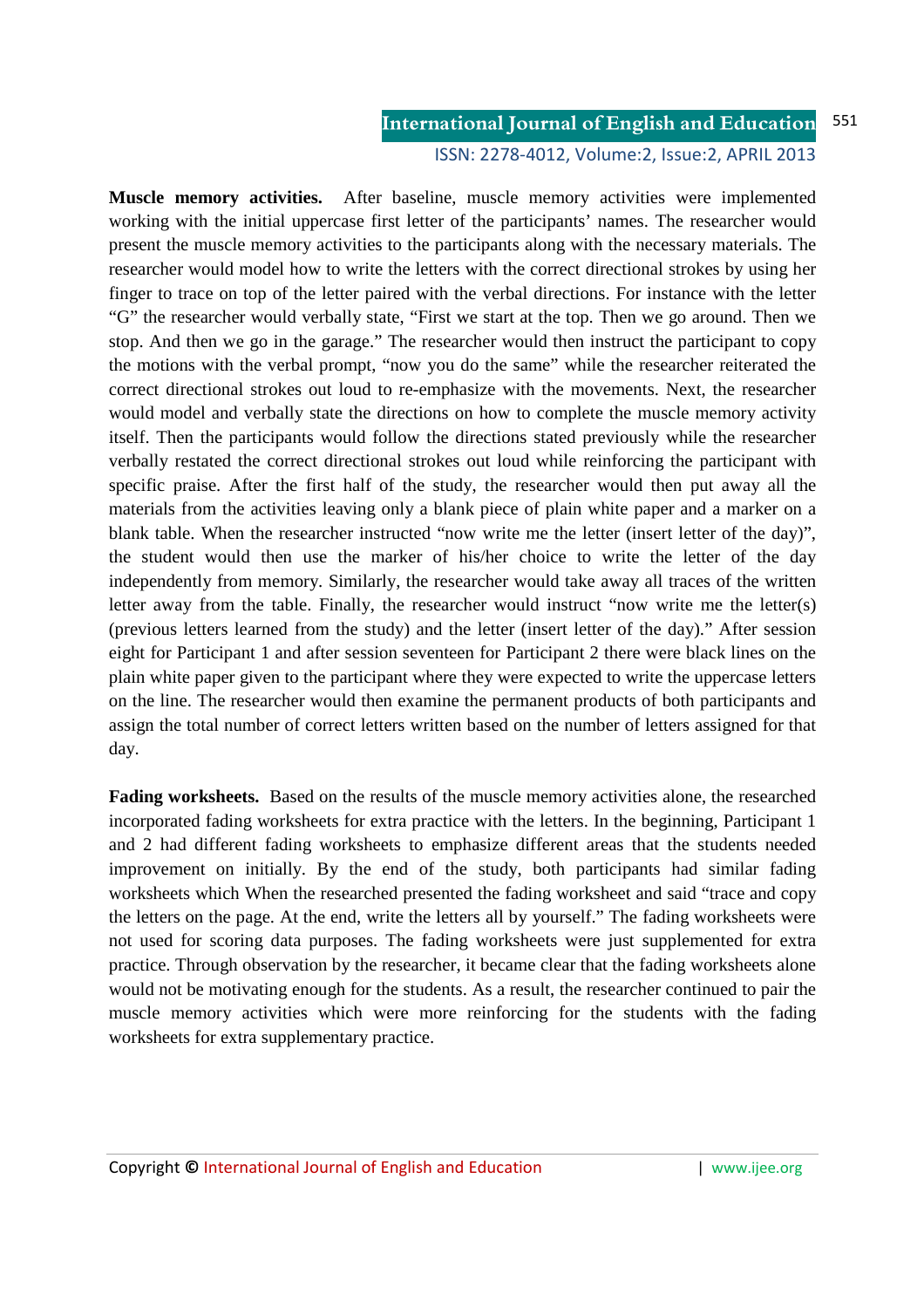ISSN: 2278-4012, Volume:2, Issue:2, APRIL 2013

**Muscle memory activities.** After baseline, muscle memory activities were implemented working with the initial uppercase first letter of the participants' names. The researcher would present the muscle memory activities to the participants along with the necessary materials. The researcher would model how to write the letters with the correct directional strokes by using her finger to trace on top of the letter paired with the verbal directions. For instance with the letter "G" the researcher would verbally state, "First we start at the top. Then we go around. Then we stop. And then we go in the garage." The researcher would then instruct the participant to copy the motions with the verbal prompt, "now you do the same" while the researcher reiterated the correct directional strokes out loud to re-emphasize with the movements. Next, the researcher would model and verbally state the directions on how to complete the muscle memory activity itself. Then the participants would follow the directions stated previously while the researcher verbally restated the correct directional strokes out loud while reinforcing the participant with specific praise. After the first half of the study, the researcher would then put away all the materials from the activities leaving only a blank piece of plain white paper and a marker on a blank table. When the researcher instructed "now write me the letter (insert letter of the day)", the student would then use the marker of his/her choice to write the letter of the day independently from memory. Similarly, the researcher would take away all traces of the written letter away from the table. Finally, the researcher would instruct "now write me the letter(s) (previous letters learned from the study) and the letter (insert letter of the day)." After session eight for Participant 1 and after session seventeen for Participant 2 there were black lines on the plain white paper given to the participant where they were expected to write the uppercase letters on the line. The researcher would then examine the permanent products of both participants and assign the total number of correct letters written based on the number of letters assigned for that day.

**Fading worksheets.** Based on the results of the muscle memory activities alone, the researched incorporated fading worksheets for extra practice with the letters. In the beginning, Participant 1 and 2 had different fading worksheets to emphasize different areas that the students needed improvement on initially. By the end of the study, both participants had similar fading worksheets which When the researched presented the fading worksheet and said "trace and copy the letters on the page. At the end, write the letters all by yourself." The fading worksheets were not used for scoring data purposes. The fading worksheets were just supplemented for extra practice. Through observation by the researcher, it became clear that the fading worksheets alone would not be motivating enough for the students. As a result, the researcher continued to pair the muscle memory activities which were more reinforcing for the students with the fading worksheets for extra supplementary practice.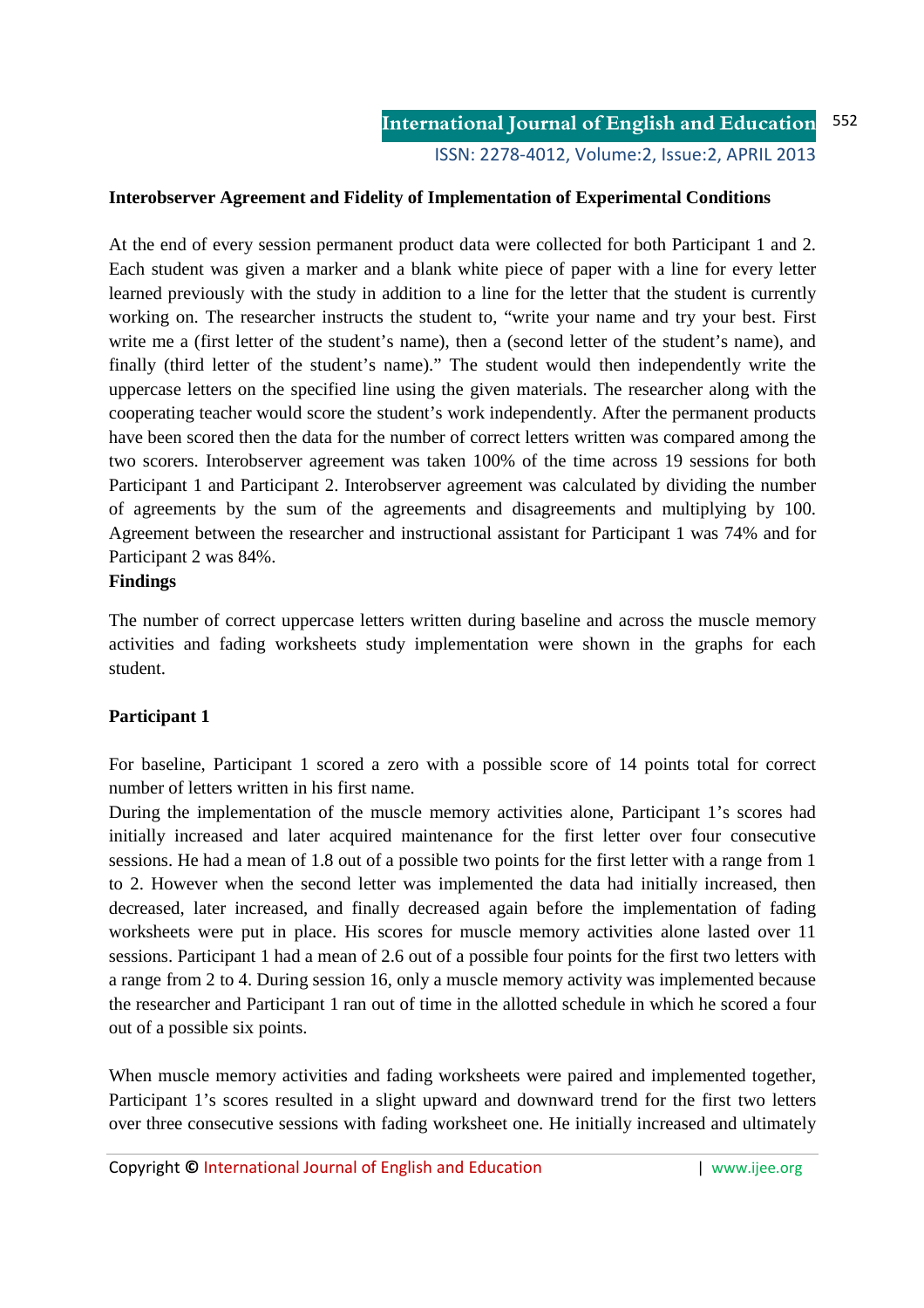ISSN: 2278-4012, Volume:2, Issue:2, APRIL 2013

#### **Interobserver Agreement and Fidelity of Implementation of Experimental Conditions**

At the end of every session permanent product data were collected for both Participant 1 and 2. Each student was given a marker and a blank white piece of paper with a line for every letter learned previously with the study in addition to a line for the letter that the student is currently working on. The researcher instructs the student to, "write your name and try your best. First write me a (first letter of the student's name), then a (second letter of the student's name), and finally (third letter of the student's name)." The student would then independently write the uppercase letters on the specified line using the given materials. The researcher along with the cooperating teacher would score the student's work independently. After the permanent products have been scored then the data for the number of correct letters written was compared among the two scorers. Interobserver agreement was taken 100% of the time across 19 sessions for both Participant 1 and Participant 2. Interobserver agreement was calculated by dividing the number of agreements by the sum of the agreements and disagreements and multiplying by 100. Agreement between the researcher and instructional assistant for Participant 1 was 74% and for Participant 2 was 84%.

#### **Findings**

The number of correct uppercase letters written during baseline and across the muscle memory activities and fading worksheets study implementation were shown in the graphs for each student.

#### **Participant 1**

For baseline, Participant 1 scored a zero with a possible score of 14 points total for correct number of letters written in his first name.

During the implementation of the muscle memory activities alone, Participant 1's scores had initially increased and later acquired maintenance for the first letter over four consecutive sessions. He had a mean of 1.8 out of a possible two points for the first letter with a range from 1 to 2. However when the second letter was implemented the data had initially increased, then decreased, later increased, and finally decreased again before the implementation of fading worksheets were put in place. His scores for muscle memory activities alone lasted over 11 sessions. Participant 1 had a mean of 2.6 out of a possible four points for the first two letters with a range from 2 to 4. During session 16, only a muscle memory activity was implemented because the researcher and Participant 1 ran out of time in the allotted schedule in which he scored a four out of a possible six points.

When muscle memory activities and fading worksheets were paired and implemented together, Participant 1's scores resulted in a slight upward and downward trend for the first two letters over three consecutive sessions with fading worksheet one. He initially increased and ultimately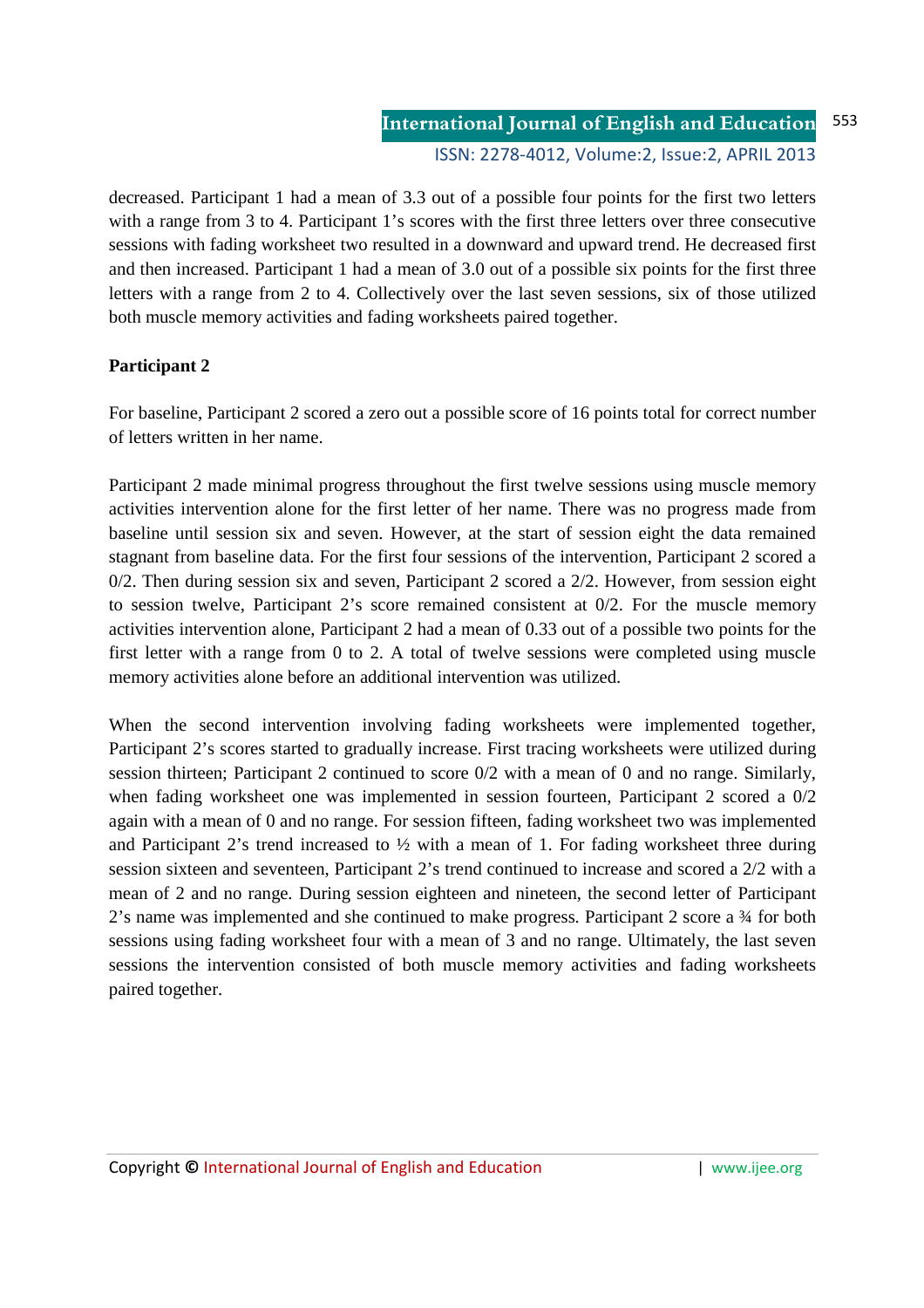decreased. Participant 1 had a mean of 3.3 out of a possible four points for the first two letters with a range from 3 to 4. Participant 1's scores with the first three letters over three consecutive sessions with fading worksheet two resulted in a downward and upward trend. He decreased first and then increased. Participant 1 had a mean of 3.0 out of a possible six points for the first three letters with a range from 2 to 4. Collectively over the last seven sessions, six of those utilized both muscle memory activities and fading worksheets paired together.

## **Participant 2**

For baseline, Participant 2 scored a zero out a possible score of 16 points total for correct number of letters written in her name.

Participant 2 made minimal progress throughout the first twelve sessions using muscle memory activities intervention alone for the first letter of her name. There was no progress made from baseline until session six and seven. However, at the start of session eight the data remained stagnant from baseline data. For the first four sessions of the intervention, Participant 2 scored a 0/2. Then during session six and seven, Participant 2 scored a 2/2. However, from session eight to session twelve, Participant 2's score remained consistent at 0/2. For the muscle memory activities intervention alone, Participant 2 had a mean of 0.33 out of a possible two points for the first letter with a range from 0 to 2. A total of twelve sessions were completed using muscle memory activities alone before an additional intervention was utilized.

When the second intervention involving fading worksheets were implemented together, Participant 2's scores started to gradually increase. First tracing worksheets were utilized during session thirteen; Participant 2 continued to score 0/2 with a mean of 0 and no range. Similarly, when fading worksheet one was implemented in session fourteen, Participant 2 scored a 0/2 again with a mean of 0 and no range. For session fifteen, fading worksheet two was implemented and Participant 2's trend increased to  $\frac{1}{2}$  with a mean of 1. For fading worksheet three during session sixteen and seventeen, Participant 2's trend continued to increase and scored a 2/2 with a mean of 2 and no range. During session eighteen and nineteen, the second letter of Participant 2's name was implemented and she continued to make progress. Participant 2 score a ¾ for both sessions using fading worksheet four with a mean of 3 and no range. Ultimately, the last seven sessions the intervention consisted of both muscle memory activities and fading worksheets paired together.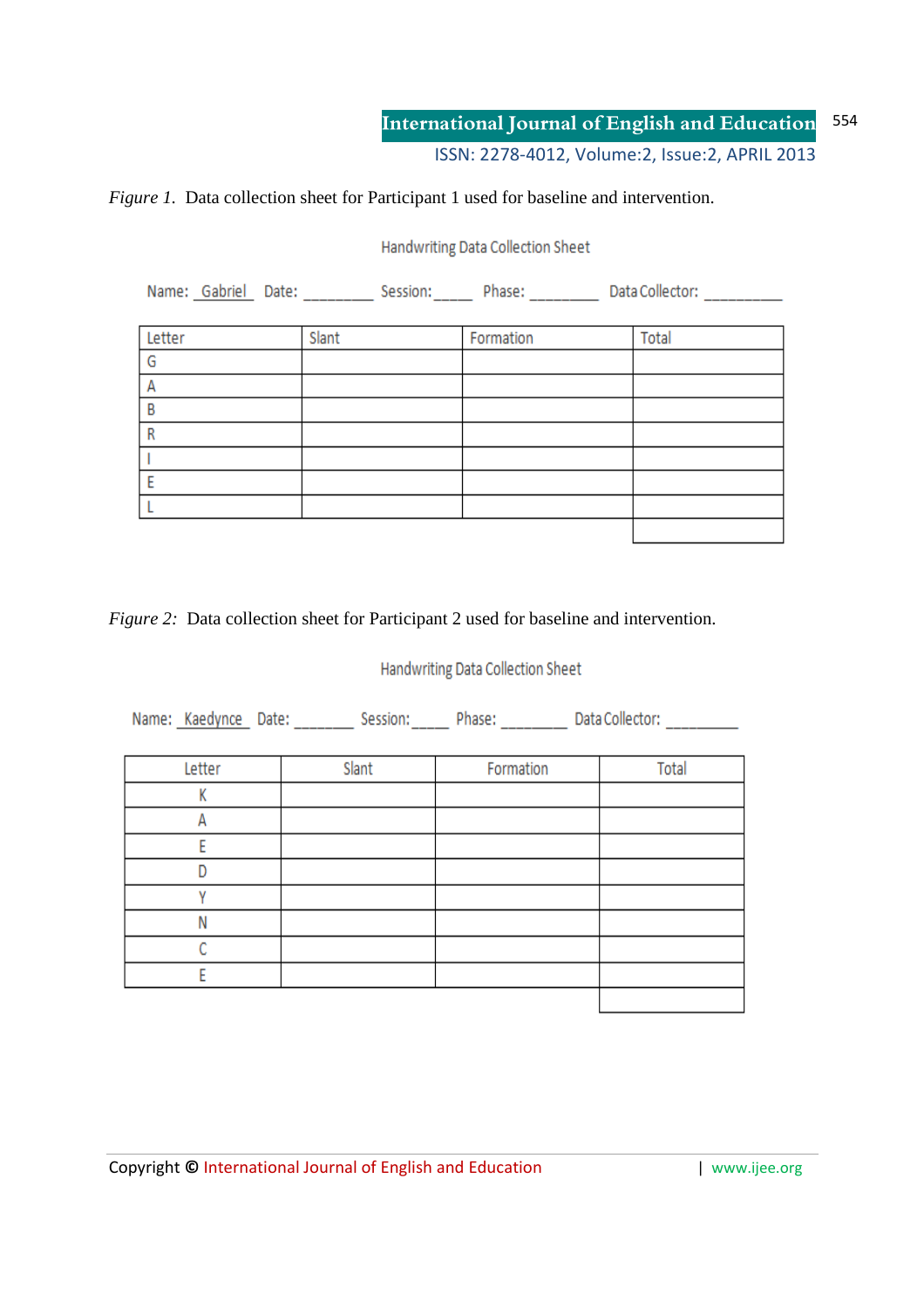#### *Figure 1.* Data collection sheet for Participant 1 used for baseline and intervention.

Handwriting Data Collection Sheet

| Name: Gabriel Date:<br>Data Collector:<br>Session: Phase: |       |           |       |  |  |
|-----------------------------------------------------------|-------|-----------|-------|--|--|
|                                                           |       |           |       |  |  |
| Letter                                                    | Slant | Formation | Total |  |  |
| G                                                         |       |           |       |  |  |
| А                                                         |       |           |       |  |  |
| B                                                         |       |           |       |  |  |
| R                                                         |       |           |       |  |  |
|                                                           |       |           |       |  |  |
| E                                                         |       |           |       |  |  |
|                                                           |       |           |       |  |  |
|                                                           |       |           |       |  |  |

*Figure 2:* Data collection sheet for Participant 2 used for baseline and intervention.

# Handwriting Data Collection Sheet

Name: Kaedynce Date: \_\_\_\_\_\_\_ Session: \_\_\_\_\_ Phase: \_\_\_\_\_\_\_\_ Data Collector: \_\_\_\_\_\_\_\_

| Letter | Slant | Formation | Total |
|--------|-------|-----------|-------|
| v      |       |           |       |
|        |       |           |       |
|        |       |           |       |
|        |       |           |       |
|        |       |           |       |
| Ν      |       |           |       |
|        |       |           |       |
|        |       |           |       |
|        |       |           |       |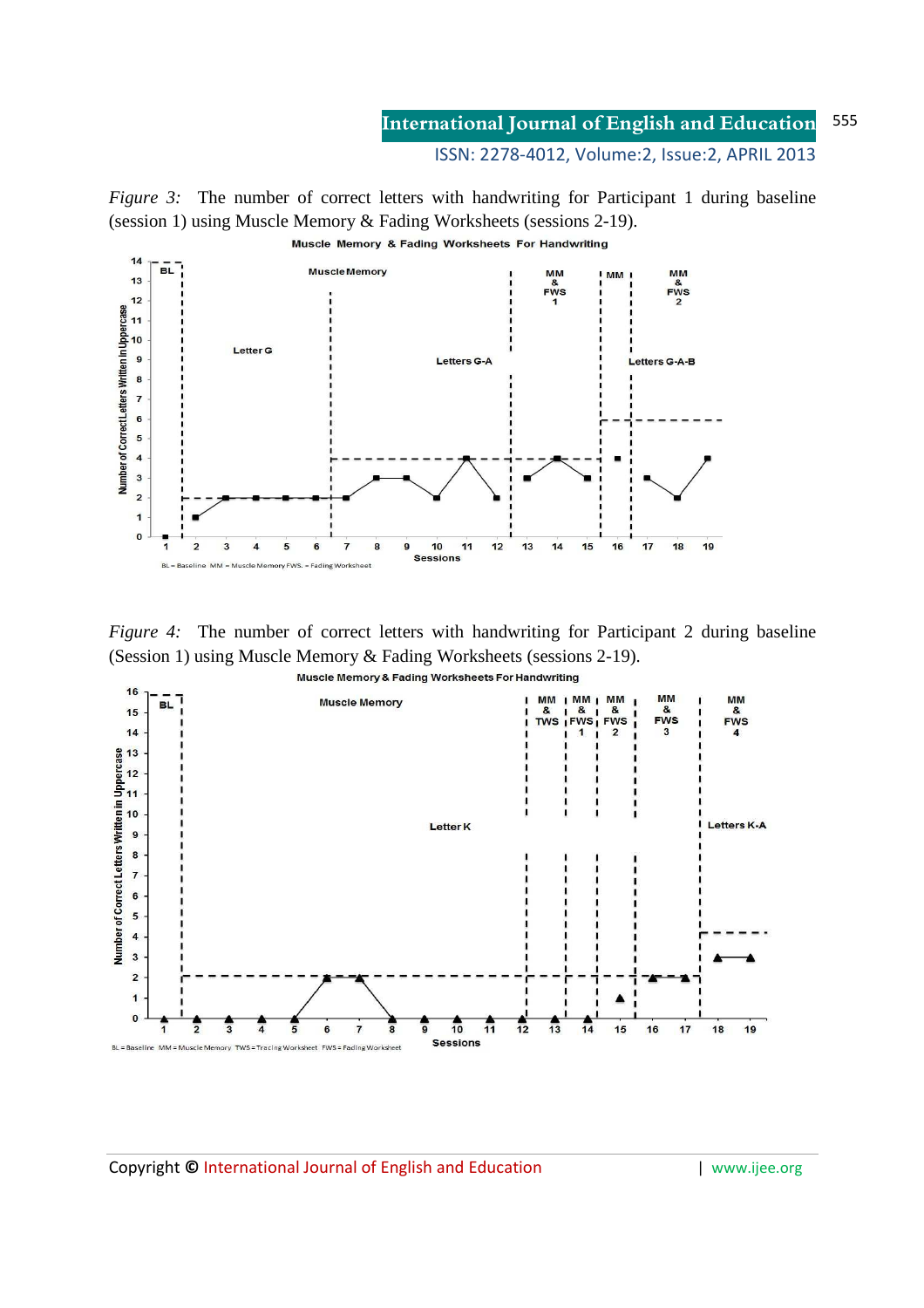ISSN: 2278-4012, Volume:2, Issue:2, APRIL 2013

*Figure 3:* The number of correct letters with handwriting for Participant 1 during baseline (session 1) using Muscle Memory & Fading Worksheets (sessions 2-19).



*Figure 4:* The number of correct letters with handwriting for Participant 2 during baseline (Session 1) using Muscle Memory & Fading Worksheets (sessions 2-19).

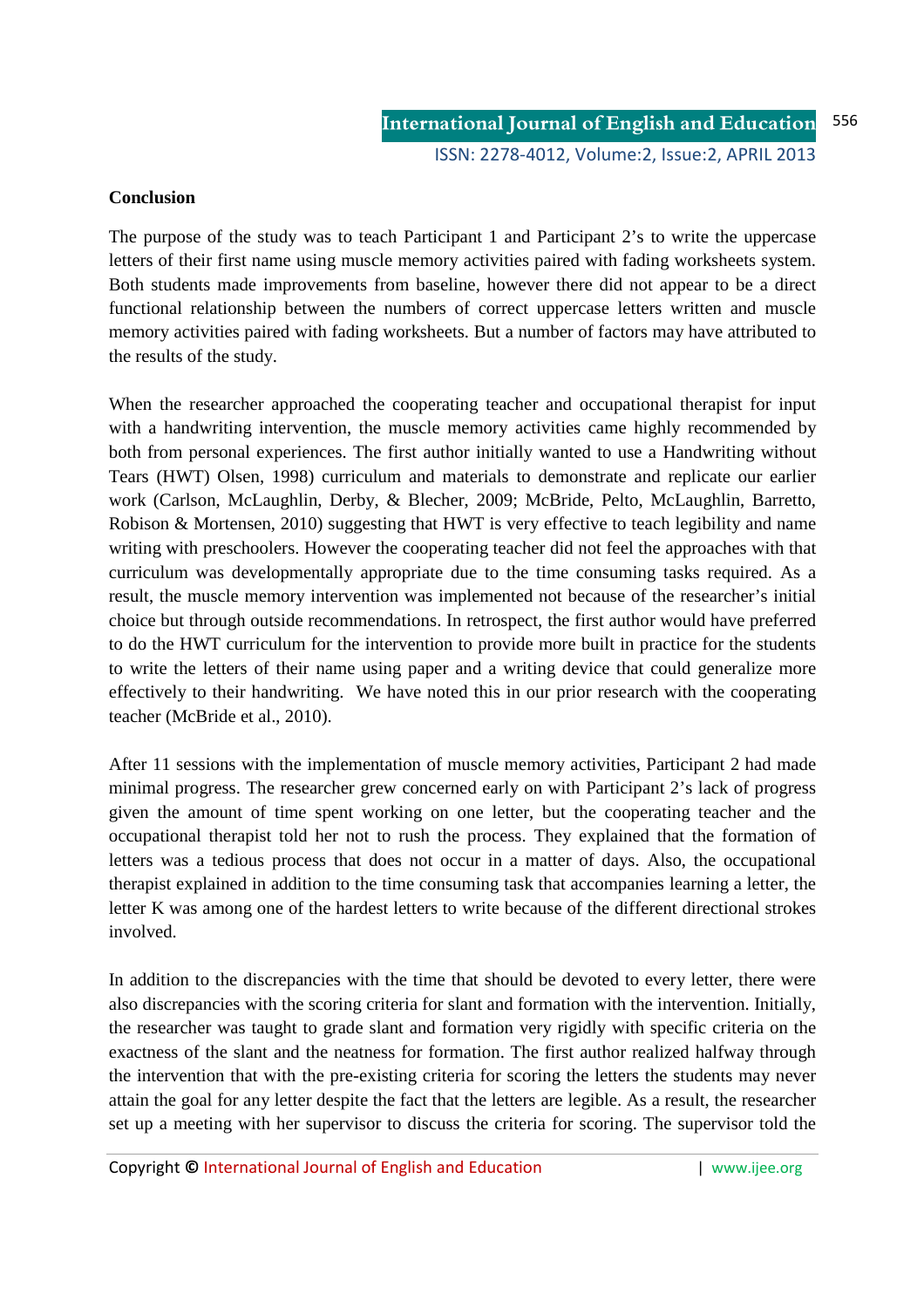#### **Conclusion**

The purpose of the study was to teach Participant 1 and Participant 2's to write the uppercase letters of their first name using muscle memory activities paired with fading worksheets system. Both students made improvements from baseline, however there did not appear to be a direct functional relationship between the numbers of correct uppercase letters written and muscle memory activities paired with fading worksheets. But a number of factors may have attributed to the results of the study.

When the researcher approached the cooperating teacher and occupational therapist for input with a handwriting intervention, the muscle memory activities came highly recommended by both from personal experiences. The first author initially wanted to use a Handwriting without Tears (HWT) Olsen, 1998) curriculum and materials to demonstrate and replicate our earlier work (Carlson, McLaughlin, Derby, & Blecher, 2009; McBride, Pelto, McLaughlin, Barretto, Robison & Mortensen, 2010) suggesting that HWT is very effective to teach legibility and name writing with preschoolers. However the cooperating teacher did not feel the approaches with that curriculum was developmentally appropriate due to the time consuming tasks required. As a result, the muscle memory intervention was implemented not because of the researcher's initial choice but through outside recommendations. In retrospect, the first author would have preferred to do the HWT curriculum for the intervention to provide more built in practice for the students to write the letters of their name using paper and a writing device that could generalize more effectively to their handwriting. We have noted this in our prior research with the cooperating teacher (McBride et al., 2010).

After 11 sessions with the implementation of muscle memory activities, Participant 2 had made minimal progress. The researcher grew concerned early on with Participant 2's lack of progress given the amount of time spent working on one letter, but the cooperating teacher and the occupational therapist told her not to rush the process. They explained that the formation of letters was a tedious process that does not occur in a matter of days. Also, the occupational therapist explained in addition to the time consuming task that accompanies learning a letter, the letter K was among one of the hardest letters to write because of the different directional strokes involved.

In addition to the discrepancies with the time that should be devoted to every letter, there were also discrepancies with the scoring criteria for slant and formation with the intervention. Initially, the researcher was taught to grade slant and formation very rigidly with specific criteria on the exactness of the slant and the neatness for formation. The first author realized halfway through the intervention that with the pre-existing criteria for scoring the letters the students may never attain the goal for any letter despite the fact that the letters are legible. As a result, the researcher set up a meeting with her supervisor to discuss the criteria for scoring. The supervisor told the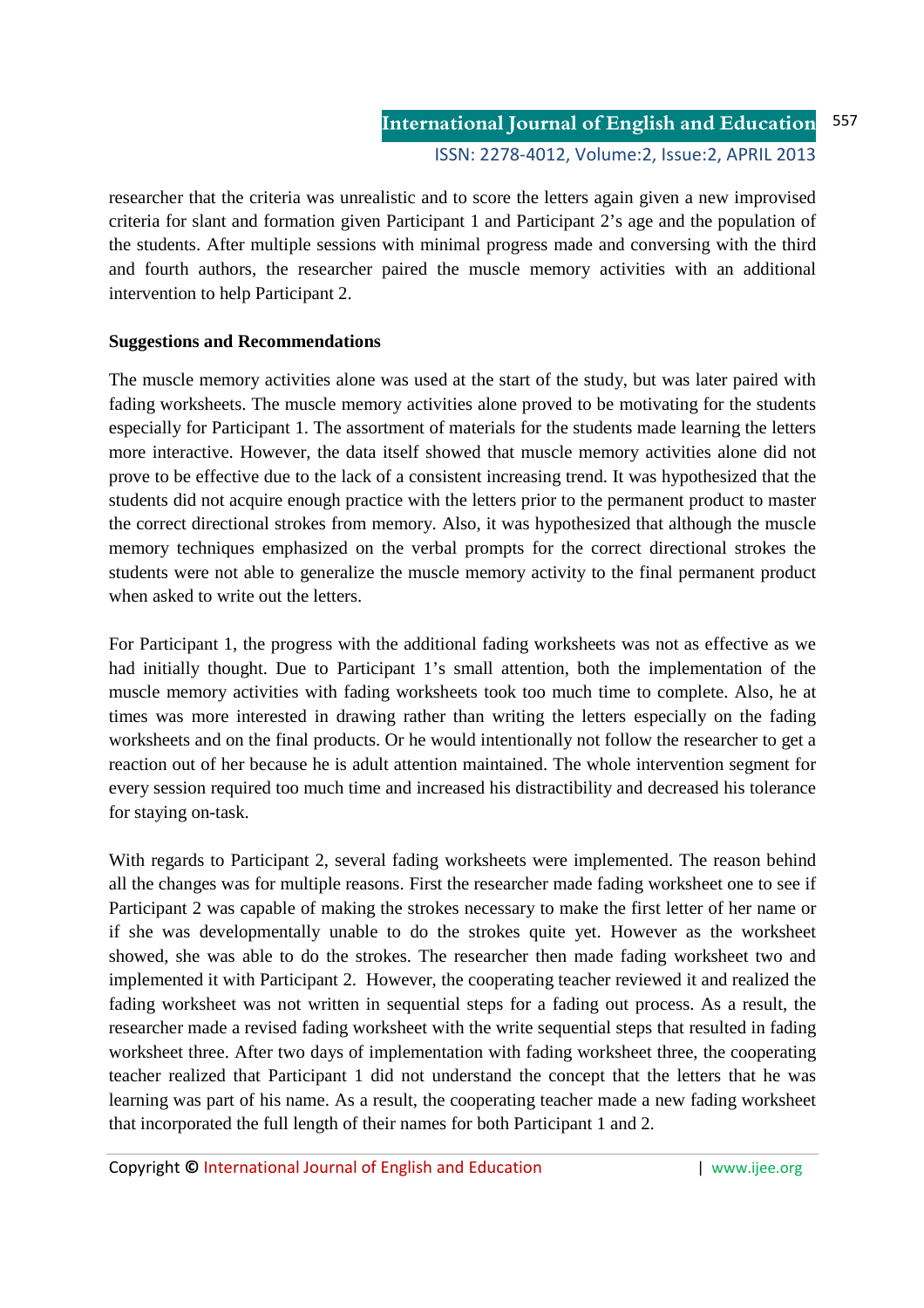researcher that the criteria was unrealistic and to score the letters again given a new improvised criteria for slant and formation given Participant 1 and Participant 2's age and the population of the students. After multiple sessions with minimal progress made and conversing with the third and fourth authors, the researcher paired the muscle memory activities with an additional intervention to help Participant 2.

## **Suggestions and Recommendations**

The muscle memory activities alone was used at the start of the study, but was later paired with fading worksheets. The muscle memory activities alone proved to be motivating for the students especially for Participant 1. The assortment of materials for the students made learning the letters more interactive. However, the data itself showed that muscle memory activities alone did not prove to be effective due to the lack of a consistent increasing trend. It was hypothesized that the students did not acquire enough practice with the letters prior to the permanent product to master the correct directional strokes from memory. Also, it was hypothesized that although the muscle memory techniques emphasized on the verbal prompts for the correct directional strokes the students were not able to generalize the muscle memory activity to the final permanent product when asked to write out the letters.

For Participant 1, the progress with the additional fading worksheets was not as effective as we had initially thought. Due to Participant 1's small attention, both the implementation of the muscle memory activities with fading worksheets took too much time to complete. Also, he at times was more interested in drawing rather than writing the letters especially on the fading worksheets and on the final products. Or he would intentionally not follow the researcher to get a reaction out of her because he is adult attention maintained. The whole intervention segment for every session required too much time and increased his distractibility and decreased his tolerance for staying on-task.

With regards to Participant 2, several fading worksheets were implemented. The reason behind all the changes was for multiple reasons. First the researcher made fading worksheet one to see if Participant 2 was capable of making the strokes necessary to make the first letter of her name or if she was developmentally unable to do the strokes quite yet. However as the worksheet showed, she was able to do the strokes. The researcher then made fading worksheet two and implemented it with Participant 2. However, the cooperating teacher reviewed it and realized the fading worksheet was not written in sequential steps for a fading out process. As a result, the researcher made a revised fading worksheet with the write sequential steps that resulted in fading worksheet three. After two days of implementation with fading worksheet three, the cooperating teacher realized that Participant 1 did not understand the concept that the letters that he was learning was part of his name. As a result, the cooperating teacher made a new fading worksheet that incorporated the full length of their names for both Participant 1 and 2.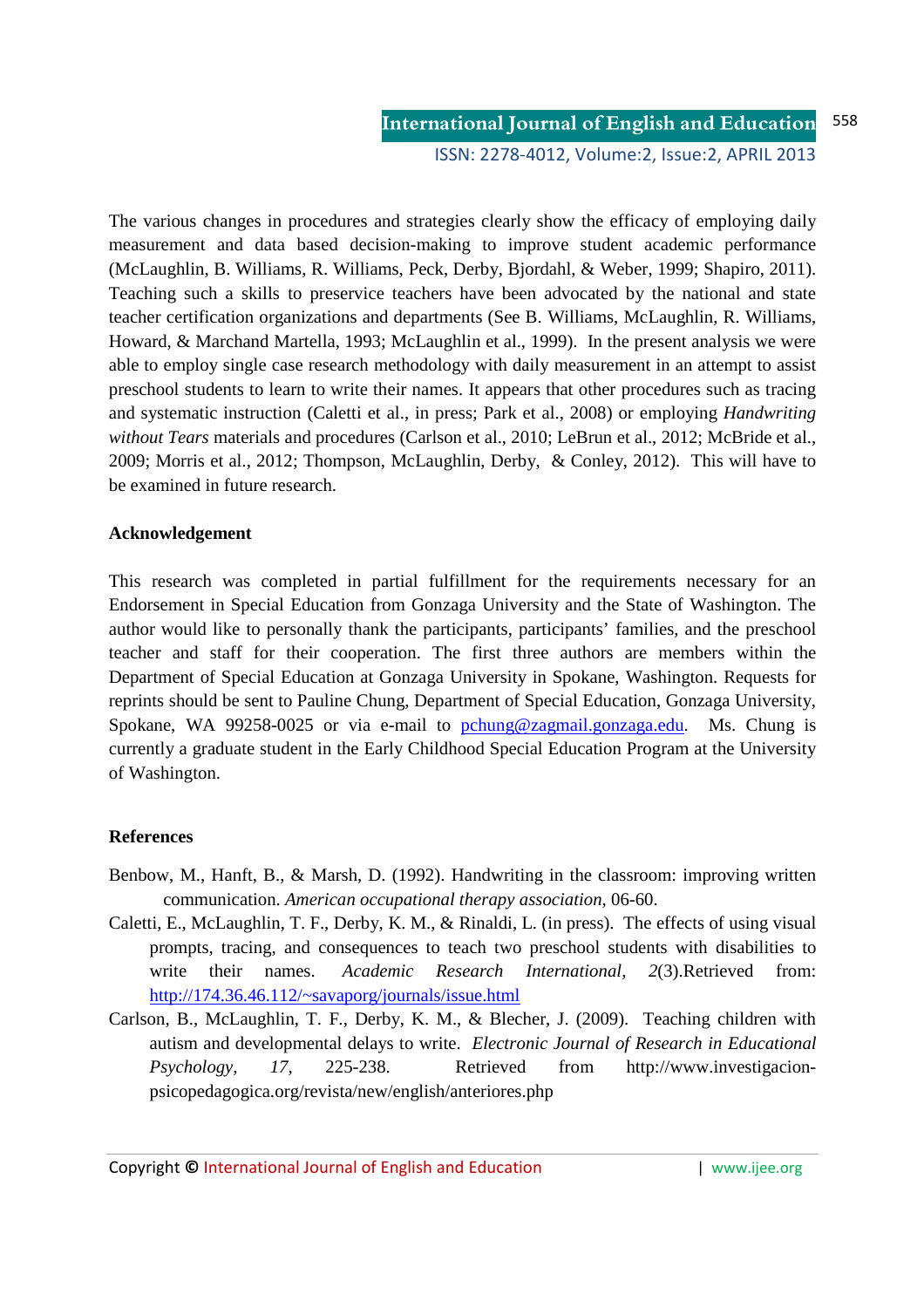The various changes in procedures and strategies clearly show the efficacy of employing daily measurement and data based decision-making to improve student academic performance (McLaughlin, B. Williams, R. Williams, Peck, Derby, Bjordahl, & Weber, 1999; Shapiro, 2011). Teaching such a skills to preservice teachers have been advocated by the national and state teacher certification organizations and departments (See B. Williams, McLaughlin, R. Williams, Howard, & Marchand Martella, 1993; McLaughlin et al., 1999). In the present analysis we were able to employ single case research methodology with daily measurement in an attempt to assist preschool students to learn to write their names. It appears that other procedures such as tracing and systematic instruction (Caletti et al., in press; Park et al., 2008) or employing *Handwriting without Tears* materials and procedures (Carlson et al., 2010; LeBrun et al., 2012; McBride et al., 2009; Morris et al., 2012; Thompson, McLaughlin, Derby, & Conley, 2012). This will have to be examined in future research.

## **Acknowledgement**

This research was completed in partial fulfillment for the requirements necessary for an Endorsement in Special Education from Gonzaga University and the State of Washington. The author would like to personally thank the participants, participants' families, and the preschool teacher and staff for their cooperation. The first three authors are members within the Department of Special Education at Gonzaga University in Spokane, Washington. Requests for reprints should be sent to Pauline Chung, Department of Special Education, Gonzaga University, Spokane, WA 99258-0025 or via e-mail to pchung@zagmail.gonzaga.edu. Ms. Chung is currently a graduate student in the Early Childhood Special Education Program at the University of Washington.

#### **References**

- Benbow, M., Hanft, B., & Marsh, D. (1992). Handwriting in the classroom: improving written communication. *American occupational therapy association*, 06-60.
- Caletti, E., McLaughlin, T. F., Derby, K. M., & Rinaldi, L. (in press). The effects of using visual prompts, tracing, and consequences to teach two preschool students with disabilities to write their names. *Academic Research International, 2*(3).Retrieved from: http://174.36.46.112/~savaporg/journals/issue.html
- Carlson, B., McLaughlin, T. F., Derby, K. M., & Blecher, J. (2009). Teaching children with autism and developmental delays to write. *Electronic Journal of Research in Educational Psychology, 17,* 225-238. Retrieved from http://www.investigacionpsicopedagogica.org/revista/new/english/anteriores.php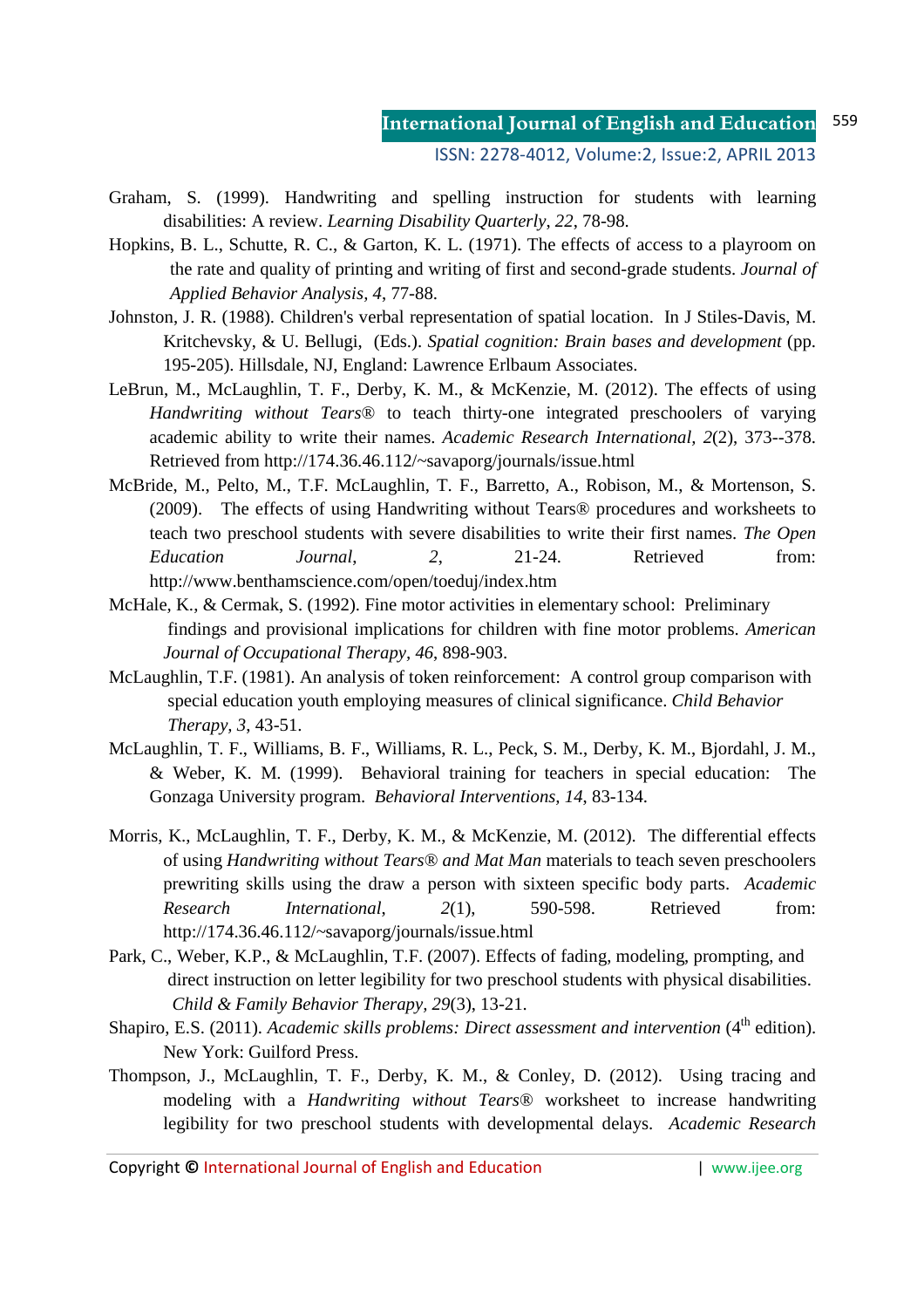ISSN: 2278-4012, Volume:2, Issue:2, APRIL 2013

- Graham, S. (1999). Handwriting and spelling instruction for students with learning disabilities: A review. *Learning Disability Quarterly*, *22*, 78-98.
- Hopkins, B. L., Schutte, R. C., & Garton, K. L. (1971). The effects of access to a playroom on the rate and quality of printing and writing of first and second-grade students. *Journal of Applied Behavior Analysis, 4*, 77-88.
- Johnston, J. R. (1988). Children's verbal representation of spatial location. In J Stiles-Davis, M. Kritchevsky, & U. Bellugi, (Eds.). *Spatial cognition: Brain bases and development* (pp. 195-205). Hillsdale, NJ, England: Lawrence Erlbaum Associates.
- LeBrun, M., McLaughlin, T. F., Derby, K. M., & McKenzie, M. (2012). The effects of using *Handwriting without Tears*® to teach thirty-one integrated preschoolers of varying academic ability to write their names. *Academic Research International, 2*(2), 373--378. Retrieved from http://174.36.46.112/~savaporg/journals/issue.html
- McBride, M., Pelto, M., T.F. McLaughlin, T. F., Barretto, A., Robison, M., & Mortenson, S. (2009). The effects of using Handwriting without Tears® procedures and worksheets to teach two preschool students with severe disabilities to write their first names. *The Open Education Journal*, *2*, 21-24. Retrieved from: http://www.benthamscience.com/open/toeduj/index.htm
- McHale, K., & Cermak, S. (1992). Fine motor activities in elementary school: Preliminary findings and provisional implications for children with fine motor problems. *American Journal of Occupational Therapy, 46*, 898-903.
- McLaughlin, T.F. (1981). An analysis of token reinforcement: A control group comparison with special education youth employing measures of clinical significance. *Child Behavior Therapy, 3*, 43-51.
- McLaughlin, T. F., Williams, B. F., Williams, R. L., Peck, S. M., Derby, K. M., Bjordahl, J. M., & Weber, K. M. (1999). Behavioral training for teachers in special education: The Gonzaga University program. *Behavioral Interventions, 14*, 83-134.
- Morris, K., McLaughlin, T. F., Derby, K. M., & McKenzie, M. (2012). The differential effects of using *Handwriting without Tears*® *and Mat Man* materials to teach seven preschoolers prewriting skills using the draw a person with sixteen specific body parts. *Academic Research International*, *2*(1), 590-598. Retrieved from: http://174.36.46.112/~savaporg/journals/issue.html
- Park, C., Weber, K.P., & McLaughlin, T.F. (2007). Effects of fading, modeling, prompting, and direct instruction on letter legibility for two preschool students with physical disabilities. *Child & Family Behavior Therapy, 29*(3), 13-21.
- Shapiro, E.S. (2011). *Academic skills problems: Direct assessment and intervention* (4<sup>th</sup> edition). New York: Guilford Press.
- Thompson, J., McLaughlin, T. F., Derby, K. M., & Conley, D. (2012). Using tracing and modeling with a *Handwriting without Tears*® worksheet to increase handwriting legibility for two preschool students with developmental delays. *Academic Research*

Copyright **©** International Journal of English and Education | www.ijee.org